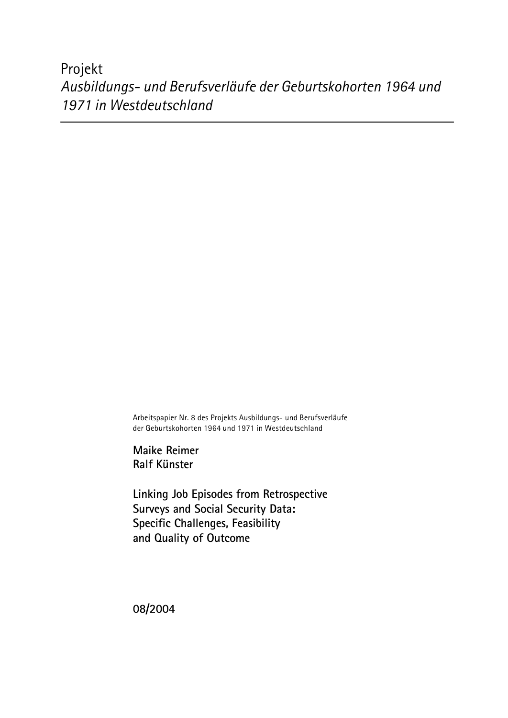Projekt *Ausbildungs- und Berufsverläufe der Geburtskohorten 1964 und 1971 in Westdeutschland*

> Arbeitspapier Nr. 8 des Projekts Ausbildungs- und Berufsverläufe der Geburtskohorten 1964 und 1971 in Westdeutschland

**Maike Reimer Ralf Künster**

**Linking Job Episodes from Retrospective Surveys and Social Security Data: Specific Challenges, Feasibility and Quality of Outcome**

**08/2004**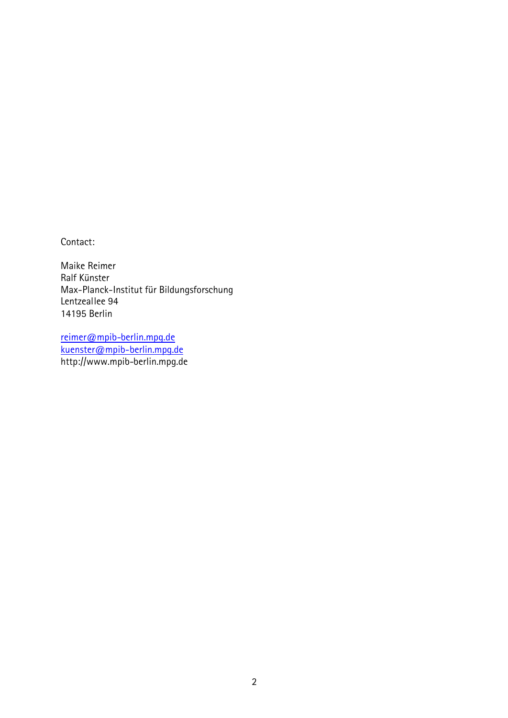Contact:

Maike Reimer Ralf Künster Max-Planck-Institut für Bildungsforschung Lentzeallee 94 14195 Berlin

reimer@mpib-berlin.mpg.de kuenster@mpib-berlin.mpg.de http://www.mpib-berlin.mpg.de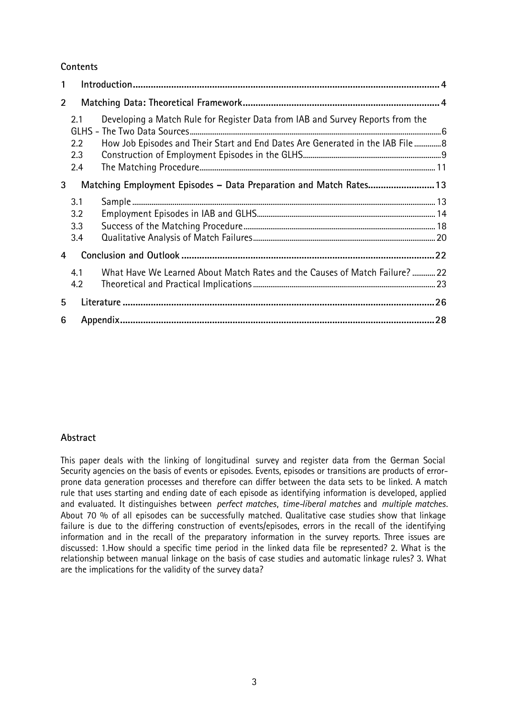# **Contents**

| $\mathbf{1}$   |            |                                                                                                                                                                  |  |
|----------------|------------|------------------------------------------------------------------------------------------------------------------------------------------------------------------|--|
| $\overline{2}$ |            |                                                                                                                                                                  |  |
|                | 2.1<br>2.2 | Developing a Match Rule for Register Data from IAB and Survey Reports from the<br>How Job Episodes and Their Start and End Dates Are Generated in the IAB File 8 |  |
|                | 2.3        |                                                                                                                                                                  |  |
|                | 2.4        |                                                                                                                                                                  |  |
| 3              |            | Matching Employment Episodes - Data Preparation and Match Rates 13                                                                                               |  |
|                | 3.1        |                                                                                                                                                                  |  |
|                | 3.2        |                                                                                                                                                                  |  |
|                | 3.3        |                                                                                                                                                                  |  |
|                | 3.4        |                                                                                                                                                                  |  |
| 4              |            |                                                                                                                                                                  |  |
|                | 4.1        | What Have We Learned About Match Rates and the Causes of Match Failure?  22                                                                                      |  |
|                | 4.2        |                                                                                                                                                                  |  |
| 5              |            |                                                                                                                                                                  |  |
| 6              |            |                                                                                                                                                                  |  |

# **Abstract**

This paper deals with the linking of longitudinal survey and register data from the German Social Security agencies on the basis of events or episodes. Events, episodes or transitions are products of errorprone data generation processes and therefore can differ between the data sets to be linked. A match rule that uses starting and ending date of each episode as identifying information is developed, applied and evaluated. It distinguishes between *perfect matches*, *time-liberal matches* and *multiple matches*. About 70 % of all episodes can be successfully matched. Qualitative case studies show that linkage failure is due to the differing construction of events/episodes, errors in the recall of the identifying information and in the recall of the preparatory information in the survey reports. Three issues are discussed: 1.How should a specific time period in the linked data file be represented? 2. What is the relationship between manual linkage on the basis of case studies and automatic linkage rules? 3. What are the implications for the validity of the survey data?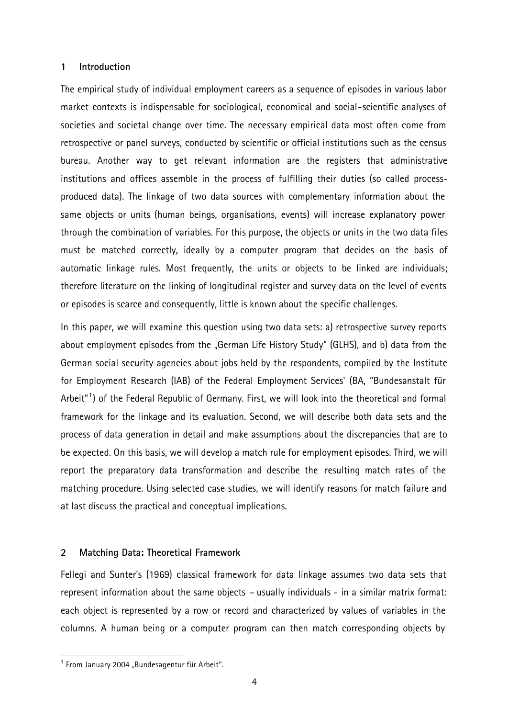### **1 Introduction**

The empirical study of individual employment careers as a sequence of episodes in various labor market contexts is indispensable for sociological, economical and social-scientific analyses of societies and societal change over time. The necessary empirical data most often come from retrospective or panel surveys, conducted by scientific or official institutions such as the census bureau. Another way to get relevant information are the registers that administrative institutions and offices assemble in the process of fulfilling their duties (so called processproduced data). The linkage of two data sources with complementary information about the same objects or units (human beings, organisations, events) will increase explanatory power through the combination of variables. For this purpose, the objects or units in the two data files must be matched correctly, ideally by a computer program that decides on the basis of automatic linkage rules. Most frequently, the units or objects to be linked are individuals; therefore literature on the linking of longitudinal register and survey data on the level of events or episodes is scarce and consequently, little is known about the specific challenges.

In this paper, we will examine this question using two data sets: a) retrospective survey reports about employment episodes from the "German Life History Study" (GLHS), and b) data from the German social security agencies about jobs held by the respondents, compiled by the Institute for Employment Research (IAB) of the Federal Employment Services' (BA, "Bundesanstalt für Arbeit"<sup>1</sup>) of the Federal Republic of Germany. First, we will look into the theoretical and formal framework for the linkage and its evaluation. Second, we will describe both data sets and the process of data generation in detail and make assumptions about the discrepancies that are to be expected. On this basis, we will develop a match rule for employment episodes. Third, we will report the preparatory data transformation and describe the resulting match rates of the matching procedure. Using selected case studies, we will identify reasons for match failure and at last discuss the practical and conceptual implications.

### **2 Matching Data: Theoretical Framework**

Fellegi and Sunter's (1969) classical framework for data linkage assumes two data sets that represent information about the same objects – usually individuals - in a similar matrix format: each object is represented by a row or record and characterized by values of variables in the columns. A human being or a computer program can then match corresponding objects by

 $^1$  From January 2004 "Bundesagentur für Arbeit".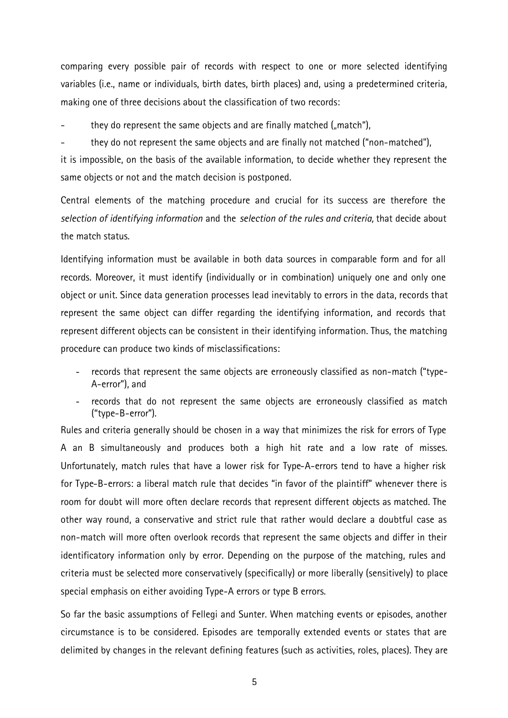comparing every possible pair of records with respect to one or more selected identifying variables (i.e., name or individuals, birth dates, birth places) and, using a predetermined criteria, making one of three decisions about the classification of two records:

they do represent the same objects and are finally matched  $\mathcal{L}_{\mathsf{m}}$  match"),

they do not represent the same objects and are finally not matched ("non-matched"),

it is impossible, on the basis of the available information, to decide whether they represent the same objects or not and the match decision is postponed.

Central elements of the matching procedure and crucial for its success are therefore the *selection of identifying information* and the *selection of the rules and criteria,* that decide about the match status.

Identifying information must be available in both data sources in comparable form and for all records. Moreover, it must identify (individually or in combination) uniquely one and only one object or unit. Since data generation processes lead inevitably to errors in the data, records that represent the same object can differ regarding the identifying information, and records that represent different objects can be consistent in their identifying information. Thus, the matching procedure can produce two kinds of misclassifications:

- records that represent the same objects are erroneously classified as non-match ("type-A-error"), and
- records that do not represent the same objects are erroneously classified as match ("type-B-error").

Rules and criteria generally should be chosen in a way that minimizes the risk for errors of Type A an B simultaneously and produces both a high hit rate and a low rate of misses. Unfortunately, match rules that have a lower risk for Type-A-errors tend to have a higher risk for Type-B-errors: a liberal match rule that decides "in favor of the plaintiff" whenever there is room for doubt will more often declare records that represent different objects as matched. The other way round, a conservative and strict rule that rather would declare a doubtful case as non-match will more often overlook records that represent the same objects and differ in their identificatory information only by error. Depending on the purpose of the matching, rules and criteria must be selected more conservatively (specifically) or more liberally (sensitively) to place special emphasis on either avoiding Type-A errors or type B errors.

So far the basic assumptions of Fellegi and Sunter. When matching events or episodes, another circumstance is to be considered. Episodes are temporally extended events or states that are delimited by changes in the relevant defining features (such as activities, roles, places). They are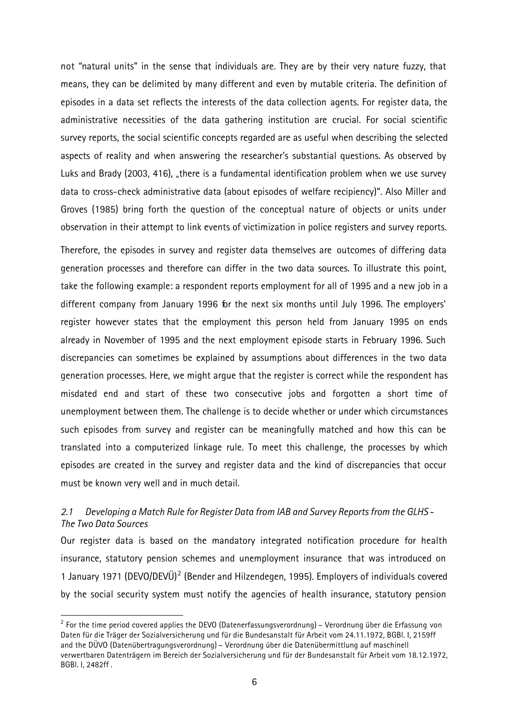not "natural units" in the sense that individuals are. They are by their very nature fuzzy, that means, they can be delimited by many different and even by mutable criteria. The definition of episodes in a data set reflects the interests of the data collection agents. For register data, the administrative necessities of the data gathering institution are crucial. For social scientific survey reports, the social scientific concepts regarded are as useful when describing the selected aspects of reality and when answering the researcher's substantial questions. As observed by Luks and Brady (2003, 416), "there is a fundamental identification problem when we use survey data to cross-check administrative data (about episodes of welfare recipiency)". Also Miller and Groves (1985) bring forth the question of the conceptual nature of objects or units under observation in their attempt to link events of victimization in police registers and survey reports.

Therefore, the episodes in survey and register data themselves are outcomes of differing data generation processes and therefore can differ in the two data sources. To illustrate this point, take the following example: a respondent reports employment for all of 1995 and a new job in a different company from January 1996 for the next six months until July 1996. The employers' register however states that the employment this person held from January 1995 on ends already in November of 1995 and the next employment episode starts in February 1996. Such discrepancies can sometimes be explained by assumptions about differences in the two data generation processes. Here, we might argue that the register is correct while the respondent has misdated end and start of these two consecutive jobs and forgotten a short time of unemployment between them. The challenge is to decide whether or under which circumstances such episodes from survey and register can be meaningfully matched and how this can be translated into a computerized linkage rule. To meet this challenge, the processes by which episodes are created in the survey and register data and the kind of discrepancies that occur must be known very well and in much detail.

# *2.1 Developing a Match Rule for Register Data from IAB and Survey Reports from the GLHS - The Two Data Sources*

Our register data is based on the mandatory integrated notification procedure for health insurance, statutory pension schemes and unemployment insurance that was introduced on 1 January 1971 (DEVO/DEVÜ)<sup>2</sup> (Bender and Hilzendegen, 1995). Employers of individuals covered by the social security system must notify the agencies of health insurance, statutory pension

 $^{\rm 2}$  For the time period covered applies the DEVO (Datenerfassungsverordnung) – Verordnung über die Erfassung von Daten für die Träger der Sozialversicherung und für die Bundesanstalt für Arbeit vom 24.11.1972, BGBl. I, 2159ff and the DÜVO (Datenübertragungsverordnung) – Verordnung über die Datenübermittlung auf maschinell verwertbaren Datenträgern im Bereich der Sozialversicherung und für der Bundesanstalt für Arbeit vom 18.12.1972, BGBl. I, 2482ff .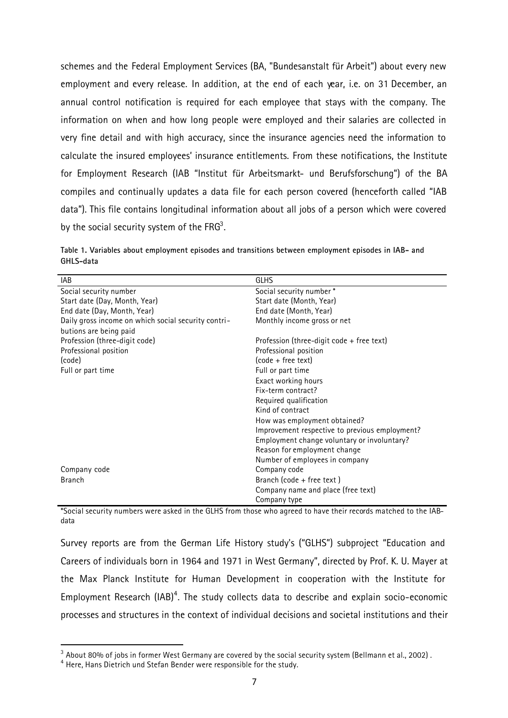schemes and the Federal Employment Services (BA, "Bundesanstalt für Arbeit") about every new employment and every release. In addition, at the end of each year, i.e. on 31 December, an annual control notification is required for each employee that stays with the company. The information on when and how long people were employed and their salaries are collected in very fine detail and with high accuracy, since the insurance agencies need the information to calculate the insured employees' insurance entitlements. From these notifications, the Institute for Employment Research (IAB "Institut für Arbeitsmarkt- und Berufsforschung") of the BA compiles and continually updates a data file for each person covered (henceforth called "IAB data"). This file contains longitudinal information about all jobs of a person which were covered by the social security system of the FRG $^3.$ 

|           |  |  | Table 1. Variables about employment episodes and transitions between employment episodes in IAB- and |  |
|-----------|--|--|------------------------------------------------------------------------------------------------------|--|
| GHLS-data |  |  |                                                                                                      |  |

| <b>IAB</b>                                          | <b>GLHS</b>                                    |
|-----------------------------------------------------|------------------------------------------------|
| Social security number                              | Social security number*                        |
| Start date (Day, Month, Year)                       | Start date (Month, Year)                       |
| End date (Day, Month, Year)                         | End date (Month, Year)                         |
| Daily gross income on which social security contri- | Monthly income gross or net                    |
| butions are being paid                              |                                                |
| Profession (three-digit code)                       | Profession (three-digit code $+$ free text)    |
| Professional position                               | Professional position                          |
| (code)                                              | (code + free text)                             |
| Full or part time                                   | Full or part time                              |
|                                                     | Exact working hours                            |
|                                                     | Fix-term contract?                             |
|                                                     | Required qualification                         |
|                                                     | Kind of contract                               |
|                                                     | How was employment obtained?                   |
|                                                     | Improvement respective to previous employment? |
|                                                     | Employment change voluntary or involuntary?    |
|                                                     | Reason for employment change                   |
|                                                     | Number of employees in company                 |
| Company code                                        | Company code                                   |
| <b>Branch</b>                                       | Branch (code + free text)                      |
|                                                     | Company name and place (free text)             |
|                                                     | Company type                                   |

\*Social security numbers were asked in the GLHS from those who agreed to have their records matched to the IABdata

Survey reports are from the German Life History study's ("GLHS") subproject "Education and Careers of individuals born in 1964 and 1971 in West Germany", directed by Prof. K. U. Mayer at the Max Planck Institute for Human Development in cooperation with the Institute for Employment Research (IAB) $4$ . The study collects data to describe and explain socio-economic processes and structures in the context of individual decisions and societal institutions and their

 $^{\rm 3}$  About 80% of jobs in former West Germany are covered by the social security system (Bellmann et al., 2002) .

<sup>&</sup>lt;sup>4</sup> Here, Hans Dietrich und Stefan Bender were responsible for the study.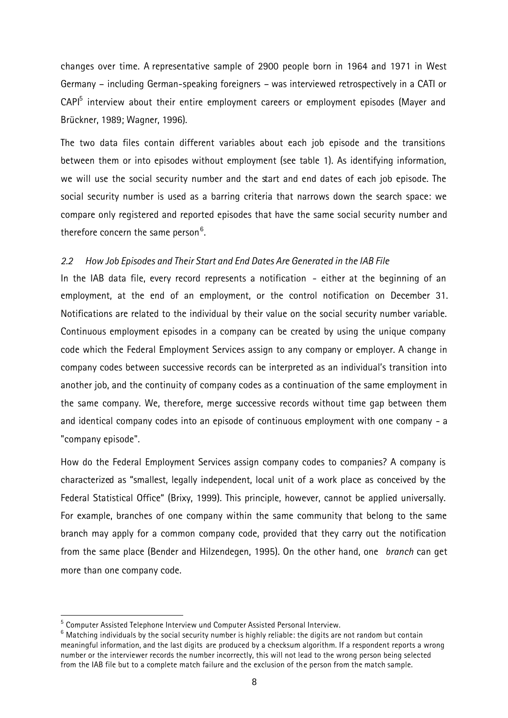changes over time. A representative sample of 2900 people born in 1964 and 1971 in West Germany – including German-speaking foreigners – was interviewed retrospectively in a CATI or CAPI<sup>5</sup> interview about their entire employment careers or employment episodes (Mayer and Brückner, 1989; Wagner, 1996).

The two data files contain different variables about each job episode and the transitions between them or into episodes without employment (see table 1). As identifying information, we will use the social security number and the start and end dates of each job episode. The social security number is used as a barring criteria that narrows down the search space: we compare only registered and reported episodes that have the same social security number and therefore concern the same person $^6$ .

### *2.2 How Job Episodes and Their Start and End Dates Are Generated in the IAB File*

In the IAB data file, every record represents a notification - either at the beginning of an employment, at the end of an employment, or the control notification on December 31. Notifications are related to the individual by their value on the social security number variable. Continuous employment episodes in a company can be created by using the unique company code which the Federal Employment Services assign to any company or employer. A change in company codes between successive records can be interpreted as an individual's transition into another job, and the continuity of company codes as a continuation of the same employment in the same company. We, therefore, merge successive records without time gap between them and identical company codes into an episode of continuous employment with one company - a "company episode".

How do the Federal Employment Services assign company codes to companies? A company is characterized as "smallest, legally independent, local unit of a work place as conceived by the Federal Statistical Office" (Brixy, 1999). This principle, however, cannot be applied universally. For example, branches of one company within the same community that belong to the same branch may apply for a common company code, provided that they carry out the notification from the same place (Bender and Hilzendegen, 1995). On the other hand, one *branch* can get more than one company code.

 $^{\rm 5}$  Computer Assisted Telephone Interview und Computer Assisted Personal Interview.

 $^6$  Matching individuals by the social security number is highly reliable: the digits are not random but contain meaningful information, and the last digits are produced by a checksum algorithm. If a respondent reports a wrong number or the interviewer records the number incorrectly, this will not lead to the wrong person being selected from the IAB file but to a complete match failure and the exclusion of the person from the match sample.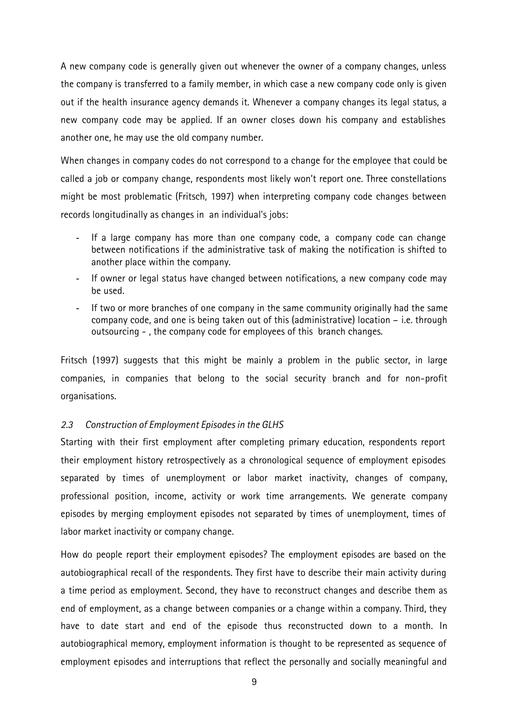A new company code is generally given out whenever the owner of a company changes, unless the company is transferred to a family member, in which case a new company code only is given out if the health insurance agency demands it. Whenever a company changes its legal status, a new company code may be applied. If an owner closes down his company and establishes another one, he may use the old company number.

When changes in company codes do not correspond to a change for the employee that could be called a job or company change, respondents most likely won't report one. Three constellations might be most problematic (Fritsch, 1997) when interpreting company code changes between records longitudinally as changes in an individual's jobs:

- If a large company has more than one company code, a company code can change between notifications if the administrative task of making the notification is shifted to another place within the company.
- If owner or legal status have changed between notifications, a new company code may be used.
- If two or more branches of one company in the same community originally had the same company code, and one is being taken out of this (administrative) location – i.e. through outsourcing - , the company code for employees of this branch changes.

Fritsch (1997) suggests that this might be mainly a problem in the public sector, in large companies, in companies that belong to the social security branch and for non-profit organisations.

# *2.3 Construction of Employment Episodes in the GLHS*

Starting with their first employment after completing primary education, respondents report their employment history retrospectively as a chronological sequence of employment episodes separated by times of unemployment or labor market inactivity, changes of company, professional position, income, activity or work time arrangements. We generate company episodes by merging employment episodes not separated by times of unemployment, times of labor market inactivity or company change.

How do people report their employment episodes? The employment episodes are based on the autobiographical recall of the respondents. They first have to describe their main activity during a time period as employment. Second, they have to reconstruct changes and describe them as end of employment, as a change between companies or a change within a company. Third, they have to date start and end of the episode thus reconstructed down to a month. In autobiographical memory, employment information is thought to be represented as sequence of employment episodes and interruptions that reflect the personally and socially meaningful and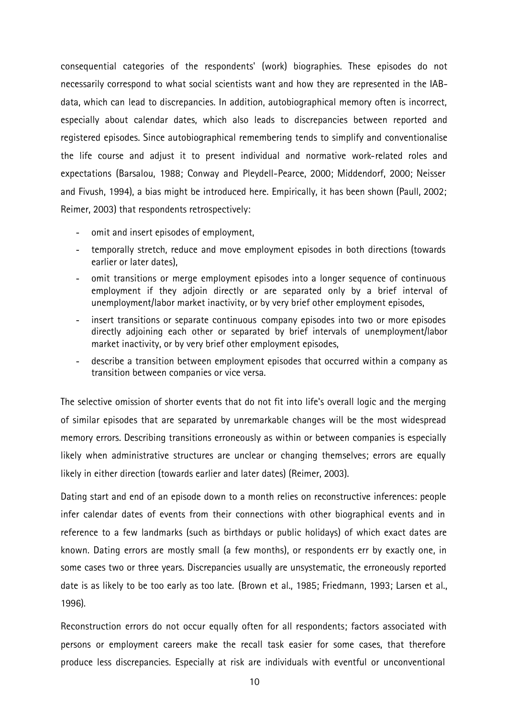consequential categories of the respondents' (work) biographies. These episodes do not necessarily correspond to what social scientists want and how they are represented in the IABdata, which can lead to discrepancies. In addition, autobiographical memory often is incorrect, especially about calendar dates, which also leads to discrepancies between reported and registered episodes. Since autobiographical remembering tends to simplify and conventionalise the life course and adjust it to present individual and normative work-related roles and expectations (Barsalou, 1988; Conway and Pleydell-Pearce, 2000; Middendorf, 2000; Neisser and Fivush, 1994), a bias might be introduced here. Empirically, it has been shown (Paull, 2002; Reimer, 2003) that respondents retrospectively:

- omit and insert episodes of employment,
- temporally stretch, reduce and move employment episodes in both directions (towards earlier or later dates),
- omit transitions or merge employment episodes into a longer sequence of continuous employment if they adjoin directly or are separated only by a brief interval of unemployment/labor market inactivity, or by very brief other employment episodes,
- insert transitions or separate continuous company episodes into two or more episodes directly adjoining each other or separated by brief intervals of unemployment/labor market inactivity, or by very brief other employment episodes,
- describe a transition between employment episodes that occurred within a company as transition between companies or vice versa.

The selective omission of shorter events that do not fit into life's overall logic and the merging of similar episodes that are separated by unremarkable changes will be the most widespread memory errors. Describing transitions erroneously as within or between companies is especially likely when administrative structures are unclear or changing themselves; errors are equally likely in either direction (towards earlier and later dates) (Reimer, 2003).

Dating start and end of an episode down to a month relies on reconstructive inferences: people infer calendar dates of events from their connections with other biographical events and in reference to a few landmarks (such as birthdays or public holidays) of which exact dates are known. Dating errors are mostly small (a few months), or respondents err by exactly one, in some cases two or three years. Discrepancies usually are unsystematic, the erroneously reported date is as likely to be too early as too late. (Brown et al., 1985; Friedmann, 1993; Larsen et al., 1996).

Reconstruction errors do not occur equally often for all respondents; factors associated with persons or employment careers make the recall task easier for some cases, that therefore produce less discrepancies. Especially at risk are individuals with eventful or unconventional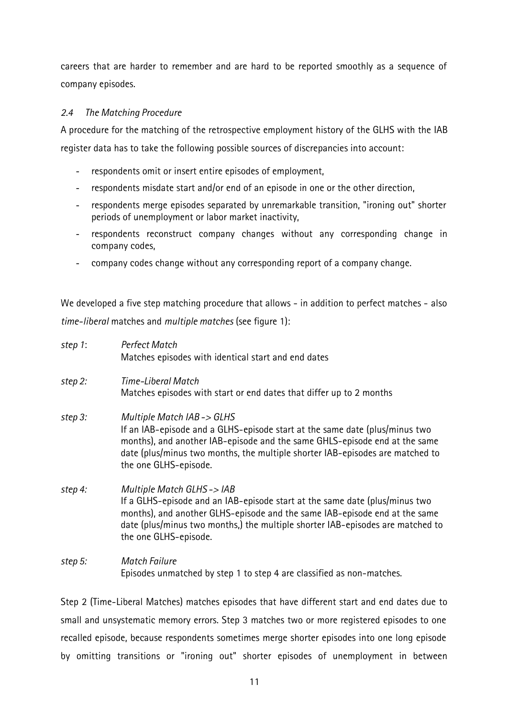careers that are harder to remember and are hard to be reported smoothly as a sequence of company episodes.

# *2.4 The Matching Procedure*

A procedure for the matching of the retrospective employment history of the GLHS with the IAB register data has to take the following possible sources of discrepancies into account:

- respondents omit or insert entire episodes of employment,
- respondents misdate start and/or end of an episode in one or the other direction,
- respondents merge episodes separated by unremarkable transition, "ironing out" shorter periods of unemployment or labor market inactivity,
- respondents reconstruct company changes without any corresponding change in company codes,
- company codes change without any corresponding report of a company change.

We developed a five step matching procedure that allows - in addition to perfect matches - also *time-liberal* matches and *multiple matches* (see figure 1):

| step 1: | <b>Perfect Match</b>                                                                                                                                                                                                                                                                             |
|---------|--------------------------------------------------------------------------------------------------------------------------------------------------------------------------------------------------------------------------------------------------------------------------------------------------|
|         | Matches episodes with identical start and end dates                                                                                                                                                                                                                                              |
| step 2: | Time-Liberal Match                                                                                                                                                                                                                                                                               |
|         | Matches episodes with start or end dates that differ up to 2 months                                                                                                                                                                                                                              |
| step 3: | Multiple Match IAB-> GLHS                                                                                                                                                                                                                                                                        |
|         | If an IAB-episode and a GLHS-episode start at the same date (plus/minus two<br>months), and another IAB-episode and the same GHLS-episode end at the same<br>date (plus/minus two months, the multiple shorter IAB-episodes are matched to<br>the one GLHS-episode.                              |
| step 4: | Multiple Match GLHS->IAB<br>If a GLHS-episode and an IAB-episode start at the same date (plus/minus two<br>months), and another GLHS-episode and the same IAB-episode end at the same<br>date (plus/minus two months,) the multiple shorter IAB-episodes are matched to<br>the one GLHS-episode. |
| step 5: | Match Failure<br>Episodes unmatched by step 1 to step 4 are classified as non-matches.                                                                                                                                                                                                           |

Step 2 (Time-Liberal Matches) matches episodes that have different start and end dates due to small and unsystematic memory errors. Step 3 matches two or more registered episodes to one recalled episode, because respondents sometimes merge shorter episodes into one long episode by omitting transitions or "ironing out" shorter episodes of unemployment in between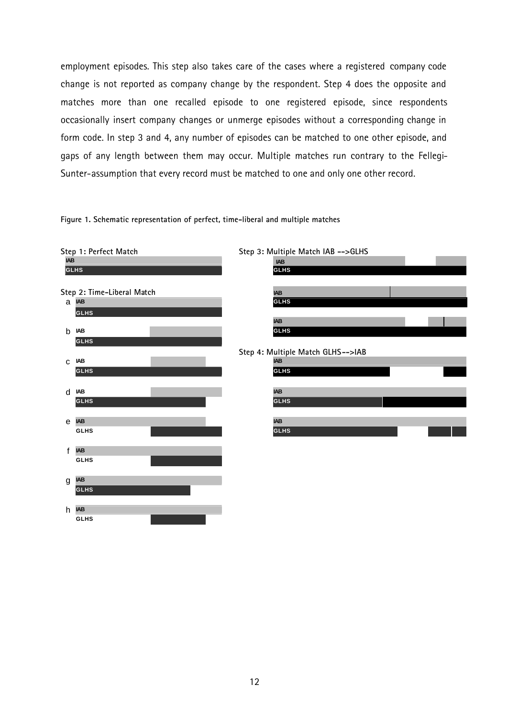employment episodes. This step also takes care of the cases where a registered company code change is not reported as company change by the respondent. Step 4 does the opposite and matches more than one recalled episode to one registered episode, since respondents occasionally insert company changes or unmerge episodes without a corresponding change in form code. In step 3 and 4, any number of episodes can be matched to one other episode, and gaps of any length between them may occur. Multiple matches run contrary to the Fellegi-Sunter-assumption that every record must be matched to one and only one other record.

#### **Figure 1. Schematic representation of perfect, time-liberal and multiple matches**

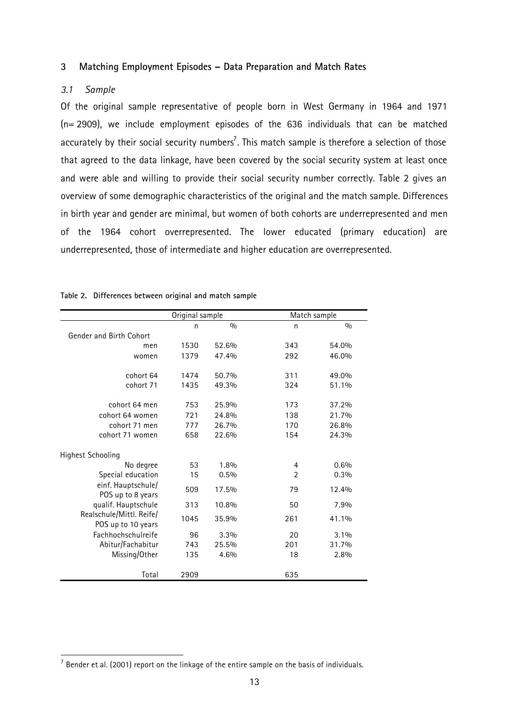### **3 Matching Employment Episodes – Data Preparation and Match Rates**

# *3.1 Sample*

l

Of the original sample representative of people born in West Germany in 1964 and 1971 (n= 2909), we include employment episodes of the 636 individuals that can be matched accurately by their social security numbers<sup>7</sup>. This match sample is therefore a selection of those that agreed to the data linkage, have been covered by the social security system at least once and were able and willing to provide their social security number correctly. Table 2 gives an overview of some demographic characteristics of the original and the match sample. Differences in birth year and gender are minimal, but women of both cohorts are underrepresented and men of the 1964 cohort overrepresented. The lower educated (primary education) are underrepresented, those of intermediate and higher education are overrepresented.

|                                                | Original sample |       | Match sample   |         |
|------------------------------------------------|-----------------|-------|----------------|---------|
|                                                | n               | 0/0   | n              | 0/0     |
| Gender and Birth Cohort                        |                 |       |                |         |
| men                                            | 1530            | 52.6% | 343            | 54.0%   |
| women                                          | 1379            | 47.4% | 292            | 46.0%   |
| cohort 64                                      | 1474            | 50.7% | 311            | 49.0%   |
| cohort 71                                      | 1435            | 49.3% | 324            | 51.1%   |
| cohort 64 men                                  | 753             | 25.9% | 173            | 37.2%   |
| cohort 64 women                                | 721             | 24.8% | 138            | 21.7%   |
| cohort 71 men                                  | 777             | 26.7% | 170            | 26.8%   |
| cohort 71 women                                | 658             | 22.6% | 154            | 24.3%   |
| <b>Highest Schooling</b>                       |                 |       |                |         |
| No degree                                      | 53              | 1.8%  | 4              | 0.6%    |
| Special education                              | 15              | 0.5%  | $\overline{2}$ | 0.3%    |
| einf. Hauptschule/<br>POS up to 8 years        | 509             | 17.5% | 79             | 12.4%   |
| qualif. Hauptschule                            | 313             | 10.8% | 50             | 7.9%    |
| Realschule/Mittl. Reife/<br>POS up to 10 years | 1045            | 35.9% | 261            | 41.1%   |
| Fachhochschulreife                             | 96              | 3.3%  | 20             | $3.1\%$ |
| Abitur/Fachabitur                              | 743             | 25.5% | 201            | 31.7%   |
| Missing/Other                                  | 135             | 4.6%  | 18             | 2.8%    |
| Total                                          | 2909            |       | 635            |         |

| Table 2. Differences between original and match sample |  |  |  |
|--------------------------------------------------------|--|--|--|
|                                                        |  |  |  |

 $^7$  Bender et al. (2001) report on the linkage of the entire sample on the basis of individuals.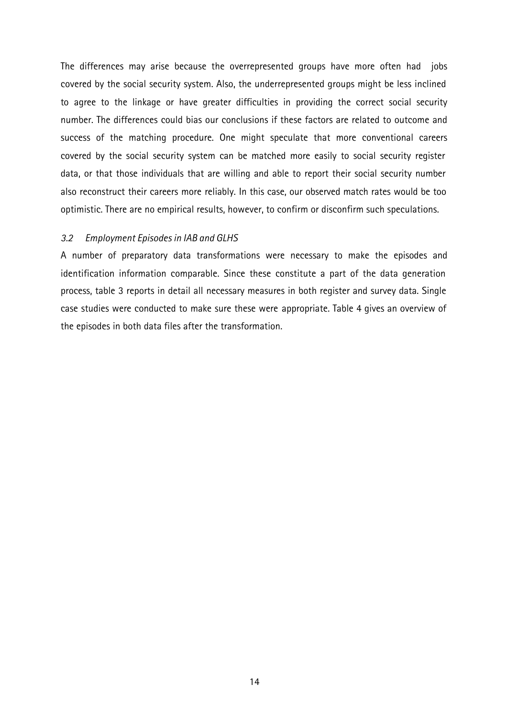The differences may arise because the overrepresented groups have more often had jobs covered by the social security system. Also, the underrepresented groups might be less inclined to agree to the linkage or have greater difficulties in providing the correct social security number. The differences could bias our conclusions if these factors are related to outcome and success of the matching procedure. One might speculate that more conventional careers covered by the social security system can be matched more easily to social security register data, or that those individuals that are willing and able to report their social security number also reconstruct their careers more reliably. In this case, our observed match rates would be too optimistic. There are no empirical results, however, to confirm or disconfirm such speculations.

### *3.2 Employment Episodes in IAB and GLHS*

A number of preparatory data transformations were necessary to make the episodes and identification information comparable. Since these constitute a part of the data generation process, table 3 reports in detail all necessary measures in both register and survey data. Single case studies were conducted to make sure these were appropriate. Table 4 gives an overview of the episodes in both data files after the transformation.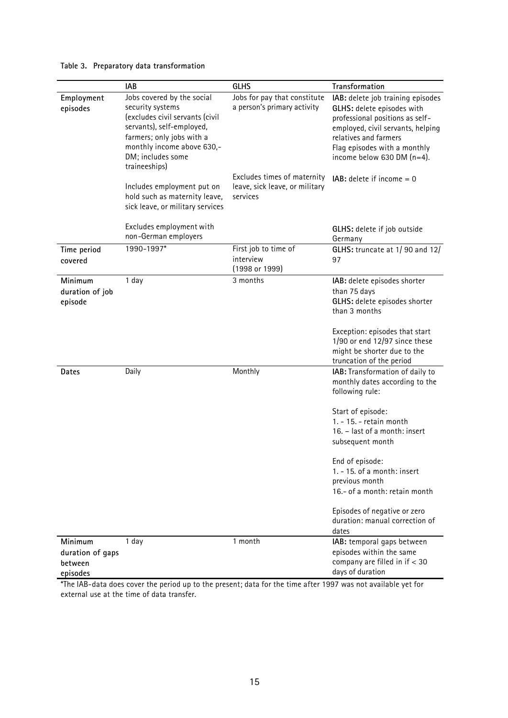| Table 3. Preparatory data transformation |  |  |
|------------------------------------------|--|--|
|------------------------------------------|--|--|

|                                                    | <b>IAB</b>                                                                                                                                                                                                                                                                                                         | <b>GLHS</b>                                                                                                                              | Transformation                                                                                                                                                                                                                                                                                                                                                             |
|----------------------------------------------------|--------------------------------------------------------------------------------------------------------------------------------------------------------------------------------------------------------------------------------------------------------------------------------------------------------------------|------------------------------------------------------------------------------------------------------------------------------------------|----------------------------------------------------------------------------------------------------------------------------------------------------------------------------------------------------------------------------------------------------------------------------------------------------------------------------------------------------------------------------|
| Employment<br>episodes                             | Jobs covered by the social<br>security systems<br>(excludes civil servants (civil<br>servants), self-employed,<br>farmers; only jobs with a<br>monthly income above 630,-<br>DM; includes some<br>traineeships)<br>Includes employment put on<br>hold such as maternity leave,<br>sick leave, or military services | Jobs for pay that constitute<br>a person's primary activity<br>Excludes times of maternity<br>leave, sick leave, or military<br>services | IAB: delete job training episodes<br>GLHS: delete episodes with<br>professional positions as self-<br>employed, civil servants, helping<br>relatives and farmers<br>Flag episodes with a monthly<br>income below 630 DM $(n=4)$ .<br>$IAB$ : delete if income = 0                                                                                                          |
|                                                    | Excludes employment with<br>non-German employers                                                                                                                                                                                                                                                                   |                                                                                                                                          | GLHS: delete if job outside<br>Germany                                                                                                                                                                                                                                                                                                                                     |
| Time period<br>covered                             | 1990-1997*                                                                                                                                                                                                                                                                                                         | First job to time of<br>interview<br>(1998 or 1999)                                                                                      | GLHS: truncate at 1/90 and 12/<br>97                                                                                                                                                                                                                                                                                                                                       |
| Minimum<br>duration of job<br>episode              | 1 day                                                                                                                                                                                                                                                                                                              | 3 months                                                                                                                                 | IAB: delete episodes shorter<br>than 75 days<br>GLHS: delete episodes shorter<br>than 3 months<br>Exception: episodes that start<br>$1/90$ or end $12/97$ since these<br>might be shorter due to the<br>truncation of the period                                                                                                                                           |
| Dates                                              | Daily                                                                                                                                                                                                                                                                                                              | Monthly                                                                                                                                  | IAB: Transformation of daily to<br>monthly dates according to the<br>following rule:<br>Start of episode:<br>1. - 15. - retain month<br>16. - last of a month: insert<br>subsequent month<br>End of episode:<br>1. - 15. of a month: insert<br>previous month<br>16 .- of a month: retain month<br>Episodes of negative or zero<br>duration: manual correction of<br>dates |
| Minimum<br>duration of gaps<br>between<br>episodes | 1 day                                                                                                                                                                                                                                                                                                              | 1 month                                                                                                                                  | IAB: temporal gaps between<br>episodes within the same<br>company are filled in $if < 30$<br>days of duration                                                                                                                                                                                                                                                              |

\*The IAB-data does cover the period up to the present; data for the time after 1997 was not available yet for external use at the time of data transfer.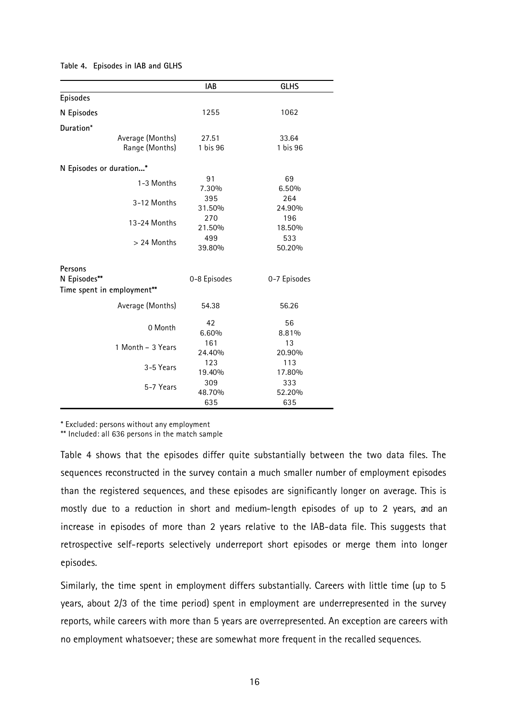|                                            | <b>IAB</b>    | <b>GLHS</b>   |
|--------------------------------------------|---------------|---------------|
| <b>Episodes</b>                            |               |               |
| N Episodes                                 | 1255          | 1062          |
| Duration*                                  |               |               |
| Average (Months)                           | 27.51         | 33.64         |
| Range (Months)                             | 1 bis 96      | 1 bis 96      |
| N Episodes or duration*                    |               |               |
| 1-3 Months                                 | 91<br>7.30%   | 69<br>6.50%   |
| 3-12 Months                                | 395<br>31.50% | 264<br>24.90% |
| 13-24 Months                               | 270<br>21.50% | 196<br>18.50% |
| > 24 Months                                | 499<br>39.80% | 533<br>50.20% |
| Persons                                    |               |               |
| N Episodes**<br>Time spent in employment** | 0-8 Episodes  | 0-7 Episodes  |
| Average (Months)                           | 54.38         | 56.26         |
| 0 Month                                    | 42<br>6.60%   | 56<br>8.81%   |
| 1 Month - 3 Years                          | 161<br>24.40% | 13<br>20.90%  |
| 3-5 Years                                  | 123<br>19.40% | 113<br>17.80% |
| 5-7 Years                                  | 309<br>48.70% | 333<br>52.20% |
|                                            | 635           | 635           |

#### **Table 4. Episodes in IAB and GLHS**

\* Excluded: persons without any employment

\*\* Included: all 636 persons in the match sample

Table 4 shows that the episodes differ quite substantially between the two data files. The sequences reconstructed in the survey contain a much smaller number of employment episodes than the registered sequences, and these episodes are significantly longer on average. This is mostly due to a reduction in short and medium-length episodes of up to 2 years, and an increase in episodes of more than 2 years relative to the IAB-data file. This suggests that retrospective self-reports selectively underreport short episodes or merge them into longer episodes.

Similarly, the time spent in employment differs substantially. Careers with little time (up to 5 years, about 2/3 of the time period) spent in employment are underrepresented in the survey reports, while careers with more than 5 years are overrepresented. An exception are careers with no employment whatsoever; these are somewhat more frequent in the recalled sequences.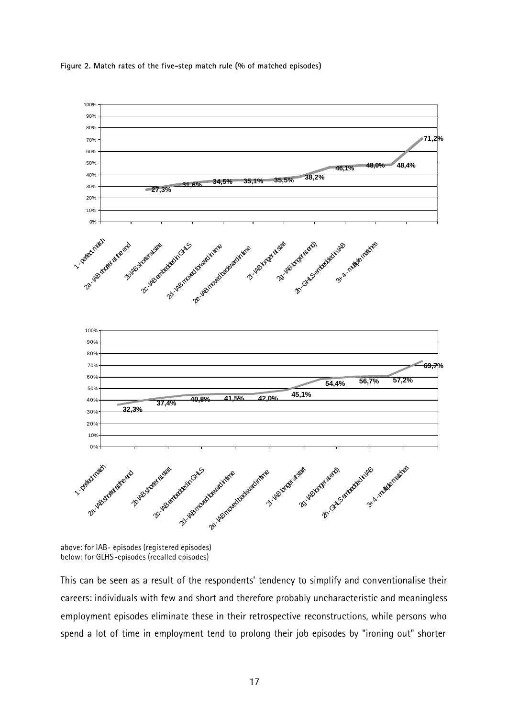



above: for IAB- episodes (registered episodes) below: for GLHS-episodes (recalled episodes)

This can be seen as a result of the respondents' tendency to simplify and conventionalise their careers: individuals with few and short and therefore probably uncharacteristic and meaningless employment episodes eliminate these in their retrospective reconstructions, while persons who spend a lot of time in employment tend to prolong their job episodes by "ironing out" shorter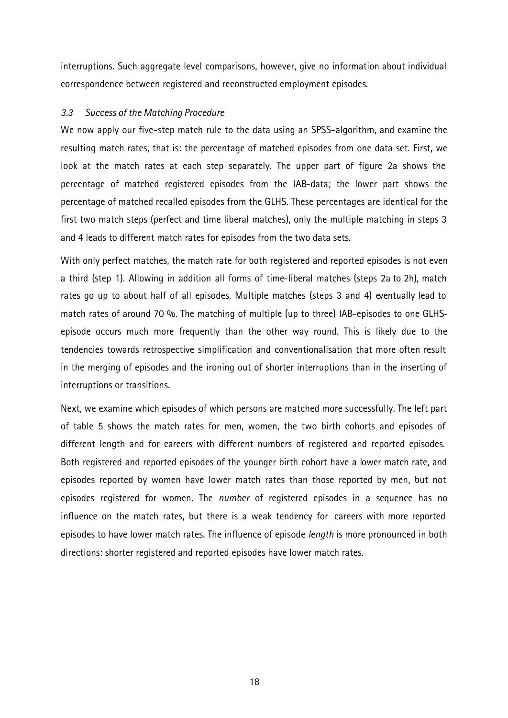interruptions. Such aggregate level comparisons, however, give no information about individual correspondence between registered and reconstructed employment episodes.

### *3.3 Success of the Matching Procedure*

We now apply our five-step match rule to the data using an SPSS-algorithm, and examine the resulting match rates, that is: the percentage of matched episodes from one data set. First, we look at the match rates at each step separately. The upper part of figure 2a shows the percentage of matched registered episodes from the IAB-data; the lower part shows the percentage of matched recalled episodes from the GLHS. These percentages are identical for the first two match steps (perfect and time liberal matches), only the multiple matching in steps 3 and 4 leads to different match rates for episodes from the two data sets.

With only perfect matches, the match rate for both registered and reported episodes is not even a third (step 1). Allowing in addition all forms of time-liberal matches (steps 2a to 2h), match rates go up to about half of all episodes. Multiple matches (steps 3 and 4) eventually lead to match rates of around 70 %. The matching of multiple (up to three) IAB-episodes to one GLHSepisode occurs much more frequently than the other way round. This is likely due to the tendencies towards retrospective simplification and conventionalisation that more often result in the merging of episodes and the ironing out of shorter interruptions than in the inserting of interruptions or transitions.

Next, we examine which episodes of which persons are matched more successfully. The left part of table 5 shows the match rates for men, women, the two birth cohorts and episodes of different length and for careers with different numbers of registered and reported episodes. Both registered and reported episodes of the younger birth cohort have a lower match rate, and episodes reported by women have lower match rates than those reported by men, but not episodes registered for women. The *number* of registered episodes in a sequence has no influence on the match rates, but there is a weak tendency for careers with more reported episodes to have lower match rates. The influence of episode *length* is more pronounced in both directions: shorter registered and reported episodes have lower match rates.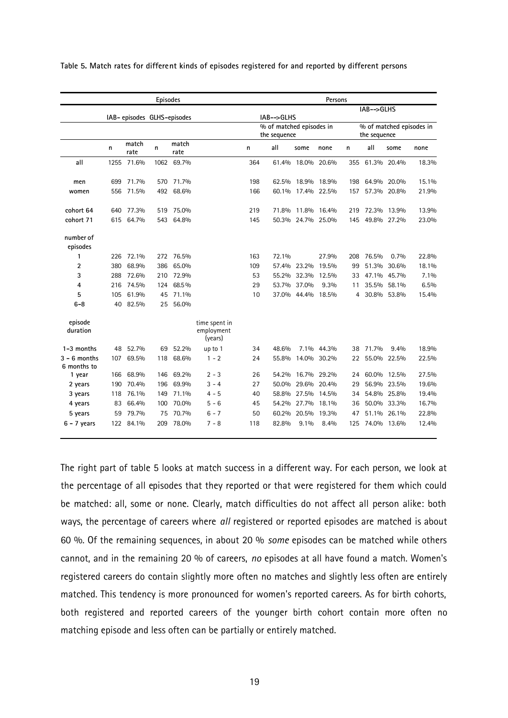|                               |      |                             | <b>Episodes</b> |               |                                        |     |                                          |                   | Persons     |     |              |             |                          |
|-------------------------------|------|-----------------------------|-----------------|---------------|----------------------------------------|-----|------------------------------------------|-------------------|-------------|-----|--------------|-------------|--------------------------|
|                               |      | IAB- episodes GLHS-episodes |                 |               |                                        |     | IAB-->GLHS                               |                   |             |     | IAB-->GLHS   |             |                          |
|                               |      |                             |                 |               |                                        |     | % of matched episodes in<br>the sequence |                   |             |     | the sequence |             | % of matched episodes in |
|                               | n    | match<br>rate               | n               | match<br>rate |                                        | n   | all                                      | some              | none        | n   | all          | some        | none                     |
| all                           | 1255 | 71.6%                       | 1062            | 69.7%         |                                        | 364 | 61.4%                                    | 18.0% 20.6%       |             | 355 |              | 61.3% 20.4% | 18.3%                    |
| men                           | 699  | 71.7%                       | 570             | 71.7%         |                                        | 198 | 62.5%                                    | 18.9% 18.9%       |             | 198 |              | 64.9% 20.0% | 15.1%                    |
| women                         | 556  | 71.5%                       | 492             | 68.6%         |                                        | 166 |                                          | 60.1% 17.4% 22.5% |             | 157 |              | 57.3% 20.8% | 21.9%                    |
| cohort 64                     | 640  | 77.3%                       | 519             | 75.0%         |                                        | 219 |                                          | 71.8% 11.8% 16.4% |             | 219 |              | 72.3% 13.9% | 13.9%                    |
| cohort 71                     | 615  | 64.7%                       | 543             | 64.8%         |                                        | 145 |                                          | 50.3% 24.7% 25.0% |             | 145 |              | 49.8% 27.2% | 23.0%                    |
| number of<br>episodes         |      |                             |                 |               |                                        |     |                                          |                   |             |     |              |             |                          |
| 1                             | 226  | 72.1%                       | 272             | 76.5%         |                                        | 163 | 72.1%                                    |                   | 27.9%       | 208 | 76.5%        | 0.7%        | 22.8%                    |
| $\overline{2}$                | 380  | 68.9%                       | 386             | 65.0%         |                                        | 109 |                                          | 57.4% 23.2%       | 19.5%       | 99  | 51.3%        | 30.6%       | 18.1%                    |
| 3                             | 288  | 72.6%                       |                 | 210 72.9%     |                                        | 53  |                                          | 55.2% 32.3%       | 12.5%       | 33  |              | 47.1% 45.7% | 7.1%                     |
| $\overline{4}$                | 216  | 74.5%                       | 124             | 68.5%         |                                        | 29  |                                          | 53.7% 37.0%       | 9.3%        | 11  | 35.5%        | 58.1%       | 6.5%                     |
| 5                             | 105  | 61.9%                       | 45              | 71.1%         |                                        | 10  |                                          | 37.0% 44.4%       | 18.5%       | 4   |              | 30.8% 53.8% | 15.4%                    |
| $6 - 8$                       | 40   | 82.5%                       | 25              | 56.0%         |                                        |     |                                          |                   |             |     |              |             |                          |
| episode<br>duration           |      |                             |                 |               | time spent in<br>employment<br>(years) |     |                                          |                   |             |     |              |             |                          |
| 1-3 months                    | 48   | 52.7%                       |                 | 69 52.2%      | up to 1                                | 34  | 48.6%                                    |                   | 7.1% 44.3%  | 38  | 71.7%        | 9.4%        | 18.9%                    |
| $3 - 6$ months<br>6 months to | 107  | 69.5%                       | 118             | 68.6%         | $1 - 2$                                | 24  | 55.8%                                    |                   | 14.0% 30.2% | 22  | 55.0%        | 22.5%       | 22.5%                    |
| 1 year                        |      | 166 68.9%                   | 146             | 69.2%         | $2 - 3$                                | 26  | 54.2%                                    | 16.7% 29.2%       |             | 24  |              | 60.0% 12.5% | 27.5%                    |
| 2 years                       | 190  | 70.4%                       | 196             | 69.9%         | $3 - 4$                                | 27  | 50.0%                                    |                   | 29.6% 20.4% | 29  |              | 56.9% 23.5% | 19.6%                    |
| 3 years                       | 118  | 76.1%                       | 149             | 71.1%         | 4 - 5                                  | 40  | 58.8%                                    | 27.5%             | 14.5%       | 34  |              | 54.8% 25.8% | 19.4%                    |
| 4 years                       | 83   | 66.4%                       | 100             | 70.0%         | $5 - 6$                                | 45  | 54.2%                                    | 27.7%             | 18.1%       | 36  |              | 50.0% 33.3% | 16.7%                    |
| 5 years                       | 59   | 79.7%                       | 75              | 70.7%         | $6 - 7$                                | 50  | 60.2%                                    | 20.5%             | 19.3%       | 47  |              | 51.1% 26.1% | 22.8%                    |
| $6 - 7$ years                 | 122  | 84.1%                       | 209             | 78.0%         | $7 - 8$                                | 118 | 82.8%                                    | $9.1\%$           | 8.4%        | 125 |              | 74.0% 13.6% | 12.4%                    |
|                               |      |                             |                 |               |                                        |     |                                          |                   |             |     |              |             |                          |

**Table 5. Match rates for different kinds of episodes registered for and reported by different persons**

The right part of table 5 looks at match success in a different way. For each person, we look at the percentage of all episodes that they reported or that were registered for them which could be matched: all, some or none. Clearly, match difficulties do not affect all person alike: both ways, the percentage of careers where *all* registered or reported episodes are matched is about 60 %. Of the remaining sequences, in about 20 % *some* episodes can be matched while others cannot, and in the remaining 20 % of careers, *no* episodes at all have found a match. Women's registered careers do contain slightly more often no matches and slightly less often are entirely matched. This tendency is more pronounced for women's reported careers. As for birth cohorts, both registered and reported careers of the younger birth cohort contain more often no matching episode and less often can be partially or entirely matched.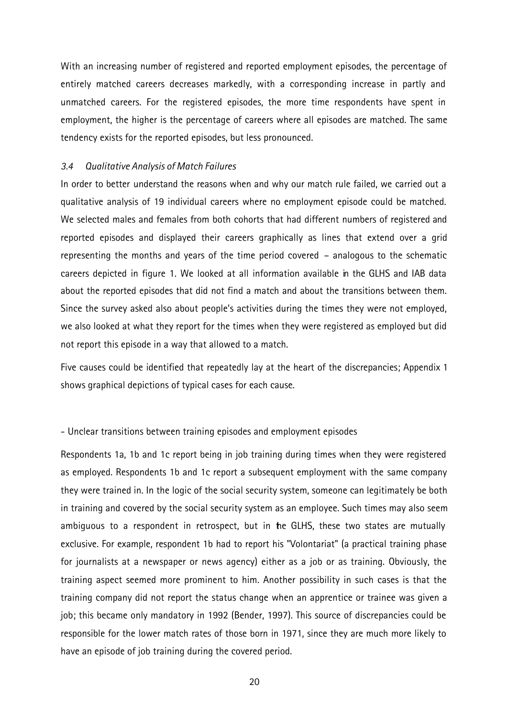With an increasing number of registered and reported employment episodes, the percentage of entirely matched careers decreases markedly, with a corresponding increase in partly and unmatched careers. For the registered episodes, the more time respondents have spent in employment, the higher is the percentage of careers where all episodes are matched. The same tendency exists for the reported episodes, but less pronounced.

### *3.4 Qualitative Analysis of Match Failures*

In order to better understand the reasons when and why our match rule failed, we carried out a qualitative analysis of 19 individual careers where no employment episode could be matched. We selected males and females from both cohorts that had different numbers of registered and reported episodes and displayed their careers graphically as lines that extend over a grid representing the months and years of the time period covered – analogous to the schematic careers depicted in figure 1. We looked at all information available in the GLHS and IAB data about the reported episodes that did not find a match and about the transitions between them. Since the survey asked also about people's activities during the times they were not employed, we also looked at what they report for the times when they were registered as employed but did not report this episode in a way that allowed to a match.

Five causes could be identified that repeatedly lay at the heart of the discrepancies; Appendix 1 shows graphical depictions of typical cases for each cause.

### - Unclear transitions between training episodes and employment episodes

Respondents 1a, 1b and 1c report being in job training during times when they were registered as employed. Respondents 1b and 1c report a subsequent employment with the same company they were trained in. In the logic of the social security system, someone can legitimately be both in training and covered by the social security system as an employee. Such times may also seem ambiguous to a respondent in retrospect, but in the GLHS, these two states are mutually exclusive. For example, respondent 1b had to report his "Volontariat" (a practical training phase for journalists at a newspaper or news agency) either as a job or as training. Obviously, the training aspect seemed more prominent to him. Another possibility in such cases is that the training company did not report the status change when an apprentice or trainee was given a job; this became only mandatory in 1992 (Bender, 1997). This source of discrepancies could be responsible for the lower match rates of those born in 1971, since they are much more likely to have an episode of job training during the covered period.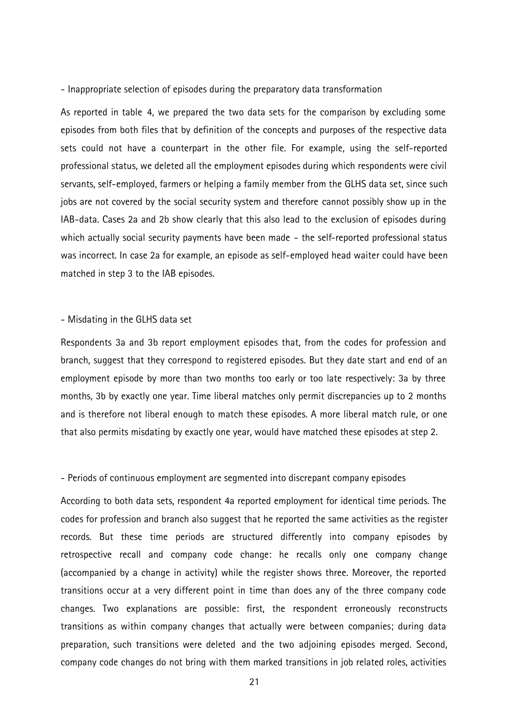- Inappropriate selection of episodes during the preparatory data transformation

As reported in table 4, we prepared the two data sets for the comparison by excluding some episodes from both files that by definition of the concepts and purposes of the respective data sets could not have a counterpart in the other file. For example, using the self-reported professional status, we deleted all the employment episodes during which respondents were civil servants, self-employed, farmers or helping a family member from the GLHS data set, since such jobs are not covered by the social security system and therefore cannot possibly show up in the IAB-data. Cases 2a and 2b show clearly that this also lead to the exclusion of episodes during which actually social security payments have been made - the self-reported professional status was incorrect. In case 2a for example, an episode as self-employed head waiter could have been matched in step 3 to the IAB episodes.

#### - Misdating in the GLHS data set

Respondents 3a and 3b report employment episodes that, from the codes for profession and branch, suggest that they correspond to registered episodes. But they date start and end of an employment episode by more than two months too early or too late respectively: 3a by three months, 3b by exactly one year. Time liberal matches only permit discrepancies up to 2 months and is therefore not liberal enough to match these episodes. A more liberal match rule, or one that also permits misdating by exactly one year, would have matched these episodes at step 2.

#### - Periods of continuous employment are segmented into discrepant company episodes

According to both data sets, respondent 4a reported employment for identical time periods. The codes for profession and branch also suggest that he reported the same activities as the register records. But these time periods are structured differently into company episodes by retrospective recall and company code change: he recalls only one company change (accompanied by a change in activity) while the register shows three. Moreover, the reported transitions occur at a very different point in time than does any of the three company code changes. Two explanations are possible: first, the respondent erroneously reconstructs transitions as within company changes that actually were between companies; during data preparation, such transitions were deleted and the two adjoining episodes merged. Second, company code changes do not bring with them marked transitions in job related roles, activities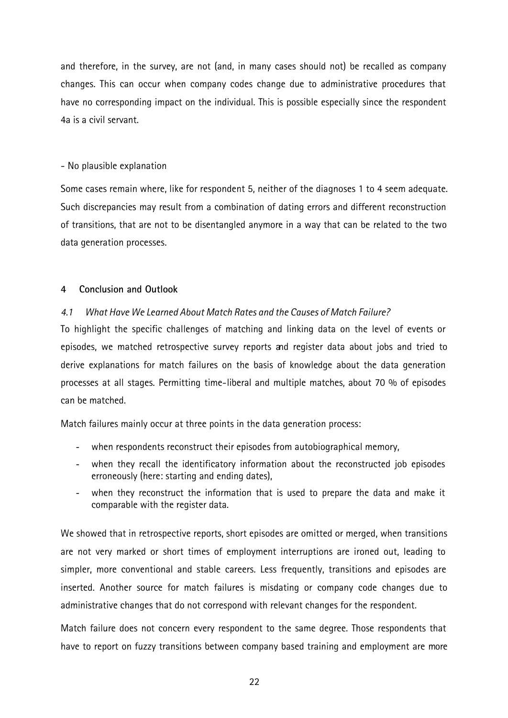and therefore, in the survey, are not (and, in many cases should not) be recalled as company changes. This can occur when company codes change due to administrative procedures that have no corresponding impact on the individual. This is possible especially since the respondent 4a is a civil servant.

# - No plausible explanation

Some cases remain where, like for respondent 5, neither of the diagnoses 1 to 4 seem adequate. Such discrepancies may result from a combination of dating errors and different reconstruction of transitions, that are not to be disentangled anymore in a way that can be related to the two data generation processes.

# **4 Conclusion and Outlook**

# *4.1 What Have We Learned About Match Rates and the Causes of Match Failure?*

To highlight the specific challenges of matching and linking data on the level of events or episodes, we matched retrospective survey reports and register data about jobs and tried to derive explanations for match failures on the basis of knowledge about the data generation processes at all stages. Permitting time-liberal and multiple matches, about 70 % of episodes can be matched.

Match failures mainly occur at three points in the data generation process:

- when respondents reconstruct their episodes from autobiographical memory,
- when they recall the identificatory information about the reconstructed job episodes erroneously (here: starting and ending dates),
- when they reconstruct the information that is used to prepare the data and make it comparable with the register data.

We showed that in retrospective reports, short episodes are omitted or merged, when transitions are not very marked or short times of employment interruptions are ironed out, leading to simpler, more conventional and stable careers. Less frequently, transitions and episodes are inserted. Another source for match failures is misdating or company code changes due to administrative changes that do not correspond with relevant changes for the respondent.

Match failure does not concern every respondent to the same degree. Those respondents that have to report on fuzzy transitions between company based training and employment are more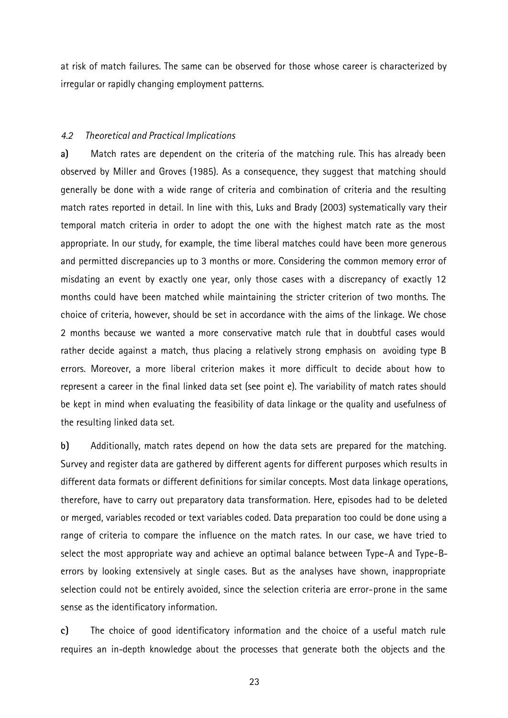at risk of match failures. The same can be observed for those whose career is characterized by irregular or rapidly changing employment patterns.

#### *4.2 Theoretical and Practical Implications*

**a)** Match rates are dependent on the criteria of the matching rule. This has already been observed by Miller and Groves (1985). As a consequence, they suggest that matching should generally be done with a wide range of criteria and combination of criteria and the resulting match rates reported in detail. In line with this, Luks and Brady (2003) systematically vary their temporal match criteria in order to adopt the one with the highest match rate as the most appropriate. In our study, for example, the time liberal matches could have been more generous and permitted discrepancies up to 3 months or more. Considering the common memory error of misdating an event by exactly one year, only those cases with a discrepancy of exactly 12 months could have been matched while maintaining the stricter criterion of two months. The choice of criteria, however, should be set in accordance with the aims of the linkage. We chose 2 months because we wanted a more conservative match rule that in doubtful cases would rather decide against a match, thus placing a relatively strong emphasis on avoiding type B errors. Moreover, a more liberal criterion makes it more difficult to decide about how to represent a career in the final linked data set (see point e). The variability of match rates should be kept in mind when evaluating the feasibility of data linkage or the quality and usefulness of the resulting linked data set.

**b)** Additionally, match rates depend on how the data sets are prepared for the matching. Survey and register data are gathered by different agents for different purposes which results in different data formats or different definitions for similar concepts. Most data linkage operations, therefore, have to carry out preparatory data transformation. Here, episodes had to be deleted or merged, variables recoded or text variables coded. Data preparation too could be done using a range of criteria to compare the influence on the match rates. In our case, we have tried to select the most appropriate way and achieve an optimal balance between Type-A and Type-Berrors by looking extensively at single cases. But as the analyses have shown, inappropriate selection could not be entirely avoided, since the selection criteria are error-prone in the same sense as the identificatory information.

**c)** The choice of good identificatory information and the choice of a useful match rule requires an in-depth knowledge about the processes that generate both the objects and the

23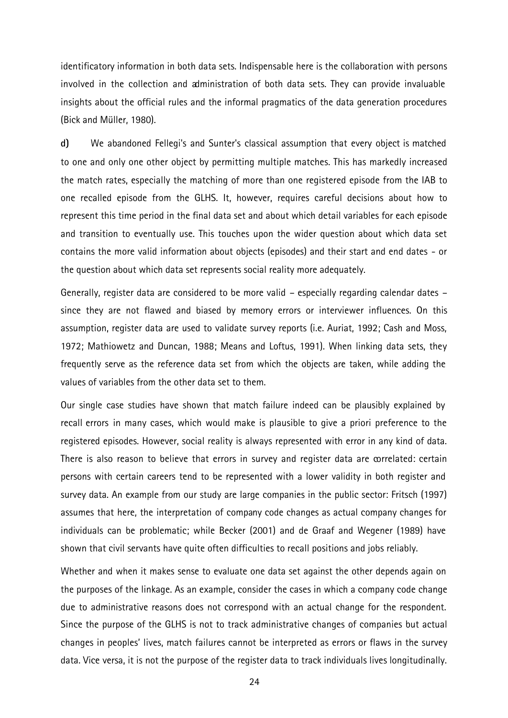identificatory information in both data sets. Indispensable here is the collaboration with persons involved in the collection and administration of both data sets. They can provide invaluable insights about the official rules and the informal pragmatics of the data generation procedures (Bick and Müller, 1980).

**d)** We abandoned Fellegi's and Sunter's classical assumption that every object is matched to one and only one other object by permitting multiple matches. This has markedly increased the match rates, especially the matching of more than one registered episode from the IAB to one recalled episode from the GLHS. It, however, requires careful decisions about how to represent this time period in the final data set and about which detail variables for each episode and transition to eventually use. This touches upon the wider question about which data set contains the more valid information about objects (episodes) and their start and end dates - or the question about which data set represents social reality more adequately.

Generally, register data are considered to be more valid – especially regarding calendar dates – since they are not flawed and biased by memory errors or interviewer influences. On this assumption, register data are used to validate survey reports (i.e. Auriat, 1992; Cash and Moss, 1972; Mathiowetz and Duncan, 1988; Means and Loftus, 1991). When linking data sets, they frequently serve as the reference data set from which the objects are taken, while adding the values of variables from the other data set to them.

Our single case studies have shown that match failure indeed can be plausibly explained by recall errors in many cases, which would make is plausible to give a priori preference to the registered episodes. However, social reality is always represented with error in any kind of data. There is also reason to believe that errors in survey and register data are correlated: certain persons with certain careers tend to be represented with a lower validity in both register and survey data. An example from our study are large companies in the public sector: Fritsch (1997) assumes that here, the interpretation of company code changes as actual company changes for individuals can be problematic; while Becker (2001) and de Graaf and Wegener (1989) have shown that civil servants have quite often difficulties to recall positions and jobs reliably.

Whether and when it makes sense to evaluate one data set against the other depends again on the purposes of the linkage. As an example, consider the cases in which a company code change due to administrative reasons does not correspond with an actual change for the respondent. Since the purpose of the GLHS is not to track administrative changes of companies but actual changes in peoples' lives, match failures cannot be interpreted as errors or flaws in the survey data. Vice versa, it is not the purpose of the register data to track individuals lives longitudinally.

24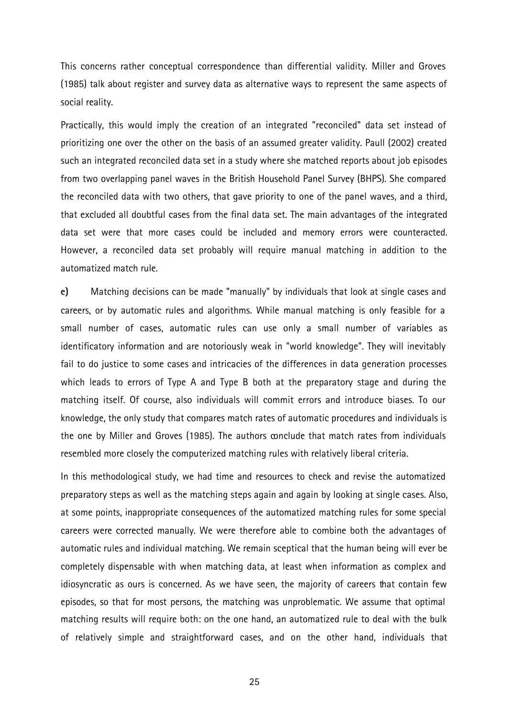This concerns rather conceptual correspondence than differential validity. Miller and Groves (1985) talk about register and survey data as alternative ways to represent the same aspects of social reality.

Practically, this would imply the creation of an integrated "reconciled" data set instead of prioritizing one over the other on the basis of an assumed greater validity. Paull (2002) created such an integrated reconciled data set in a study where she matched reports about job episodes from two overlapping panel waves in the British Household Panel Survey (BHPS). She compared the reconciled data with two others, that gave priority to one of the panel waves, and a third, that excluded all doubtful cases from the final data set. The main advantages of the integrated data set were that more cases could be included and memory errors were counteracted. However, a reconciled data set probably will require manual matching in addition to the automatized match rule.

**e)** Matching decisions can be made "manually" by individuals that look at single cases and careers, or by automatic rules and algorithms. While manual matching is only feasible for a small number of cases, automatic rules can use only a small number of variables as identificatory information and are notoriously weak in "world knowledge". They will inevitably fail to do justice to some cases and intricacies of the differences in data generation processes which leads to errors of Type A and Type B both at the preparatory stage and during the matching itself. Of course, also individuals will commit errors and introduce biases. To our knowledge, the only study that compares match rates of automatic procedures and individuals is the one by Miller and Groves (1985). The authors conclude that match rates from individuals resembled more closely the computerized matching rules with relatively liberal criteria.

In this methodological study, we had time and resources to check and revise the automatized preparatory steps as well as the matching steps again and again by looking at single cases. Also, at some points, inappropriate consequences of the automatized matching rules for some special careers were corrected manually. We were therefore able to combine both the advantages of automatic rules and individual matching. We remain sceptical that the human being will ever be completely dispensable with when matching data, at least when information as complex and idiosyncratic as ours is concerned. As we have seen, the majority of careers that contain few episodes, so that for most persons, the matching was unproblematic. We assume that optimal matching results will require both: on the one hand, an automatized rule to deal with the bulk of relatively simple and straightforward cases, and on the other hand, individuals that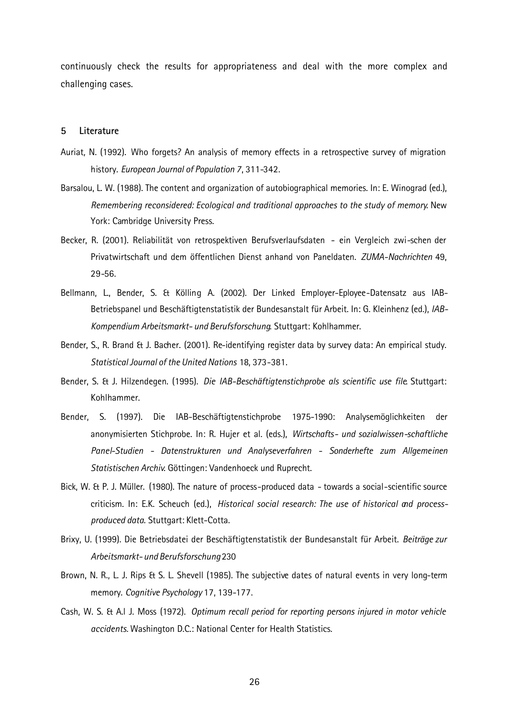continuously check the results for appropriateness and deal with the more complex and challenging cases.

#### **5 Literature**

- Auriat, N. (1992). Who forgets? An analysis of memory effects in a retrospective survey of migration history. *European Journal of Population 7*, 311-342.
- Barsalou, L. W. (1988). The content and organization of autobiographical memories. In: E. Winograd (ed.), *Remembering reconsidered: Ecological and traditional approaches to the study of memory*. New York: Cambridge University Press.
- Becker, R. (2001). Reliabilität von retrospektiven Berufsverlaufsdaten ein Vergleich zwi-schen der Privatwirtschaft und dem öffentlichen Dienst anhand von Paneldaten. *ZUMA-Nachrichten* 49, 29-56.
- Bellmann, L., Bender, S. & Kölling A. (2002). Der Linked Employer-Eployee-Datensatz aus IAB-Betriebspanel und Beschäftigtenstatistik der Bundesanstalt für Arbeit. In: G. Kleinhenz (ed.), *IAB-Kompendium Arbeitsmarkt- und Berufsforschung*. Stuttgart: Kohlhammer.
- Bender, S., R. Brand & J. Bacher. (2001). Re-identifying register data by survey data: An empirical study. *Statistical Journal of the United Nations* 18, 373-381.
- Bender, S. & J. Hilzendegen. (1995). *Die IAB-Beschäftigtenstichprobe als scientific use file*. Stuttgart: Kohlhammer.
- Bender, S. (1997). Die IAB-Beschäftigtenstichprobe 1975-1990: Analysemöglichkeiten der anonymisierten Stichprobe. In: R. Hujer et al. (eds.), *Wirtschafts- und sozialwissen-schaftliche Panel-Studien - Datenstrukturen und Analyseverfahren - Sonderhefte zum Allgemeinen Statistischen Archiv*. Göttingen: Vandenhoeck und Ruprecht.
- Bick, W. & P. J. Müller. (1980). The nature of process-produced data towards a social-scientific source criticism. In: E.K. Scheuch (ed.), *Historical social research: The use of historical and processproduced data*. Stuttgart: Klett-Cotta.
- Brixy, U. (1999). Die Betriebsdatei der Beschäftigtenstatistik der Bundesanstalt für Arbeit. *Beiträge zur Arbeitsmarkt- und Berufsforschung* 230
- Brown, N. R., L. J. Rips & S. L. Shevell (1985). The subjective dates of natural events in very long-term memory. *Cognitive Psychology* 17, 139-177.
- Cash, W. S. & A.l J. Moss (1972). *Optimum recall period for reporting persons injured in motor vehicle accidents.* Washington D.C.: National Center for Health Statistics.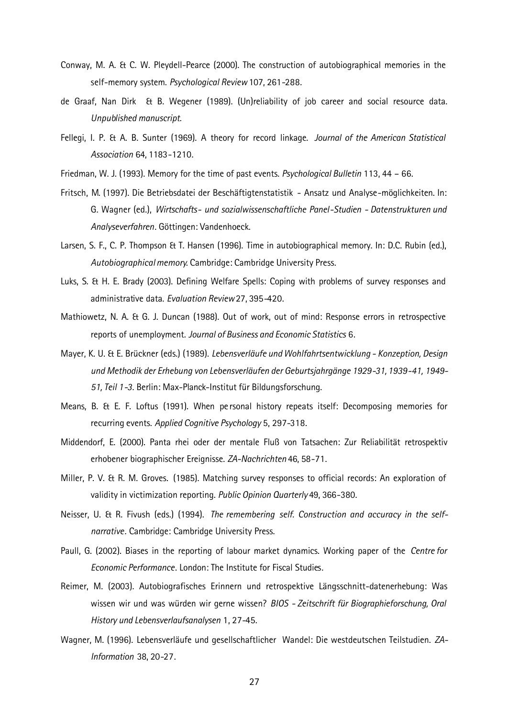- Conway, M. A. & C. W. Pleydell-Pearce (2000). The construction of autobiographical memories in the self-memory system. *Psychological Review* 107, 261-288.
- de Graaf, Nan Dirk & B. Wegener (1989). (Un)reliability of job career and social resource data. *Unpublished manuscript.*
- Fellegi, I. P. & A. B. Sunter (1969). A theory for record linkage. *Journal of the American Statistical Association* 64, 1183-1210.
- Friedman, W. J. (1993). Memory for the time of past events. *Psychological Bulletin* 113, 44 66.
- Fritsch, M. (1997). Die Betriebsdatei der Beschäftigtenstatistik Ansatz und Analyse-möglichkeiten. In: G. Wagner (ed.), *Wirtschafts- und sozialwissenschaftliche Panel-Studien - Datenstrukturen und Analyseverfahren*. Göttingen: Vandenhoeck.
- Larsen, S. F., C. P. Thompson & T. Hansen (1996). Time in autobiographical memory. In: D.C. Rubin (ed.), *Autobiographical memory*. Cambridge: Cambridge University Press.
- Luks, S. & H. E. Brady (2003). Defining Welfare Spells: Coping with problems of survey responses and administrative data. *Evaluation Review* 27, 395-420.
- Mathiowetz, N. A. & G. J. Duncan (1988). Out of work, out of mind: Response errors in retrospective reports of unemployment. *Journal of Business and Economic Statistics* 6.
- Mayer, K. U. & E. Brückner (eds.) (1989). *Lebensverläufe und Wohlfahrtsentwicklung Konzeption, Design und Methodik der Erhebung von Lebensverläufen der Geburtsjahrgänge 1929-31, 1939-41, 1949- 51, Teil 1-3*. Berlin: Max-Planck-Institut für Bildungsforschung.
- Means, B. & E. F. Loftus (1991). When pe rsonal history repeats itself: Decomposing memories for recurring events. *Applied Cognitive Psychology* 5, 297-318.
- Middendorf, E. (2000). Panta rhei oder der mentale Fluß von Tatsachen: Zur Reliabilität retrospektiv erhobener biographischer Ereignisse. *ZA-Nachrichten* 46, 58-71.
- Miller, P. V. & R. M. Groves. (1985). Matching survey responses to official records: An exploration of validity in victimization reporting. *Public Opinion Quarterly* 49, 366-380.
- Neisser, U. & R. Fivush (eds.) (1994). *The remembering self. Construction and accuracy in the selfnarrative*. Cambridge: Cambridge University Press.
- Paull, G. (2002). Biases in the reporting of labour market dynamics. Working paper of the *Centre for Economic Performance*. London: The Institute for Fiscal Studies.
- Reimer, M. (2003). Autobiografisches Erinnern und retrospektive Längsschnitt-datenerhebung: Was wissen wir und was würden wir gerne wissen? *BIOS - Zeitschrift für Biographieforschung, Oral History und Lebensverlaufsanalysen* 1, 27-45.
- Wagner, M. (1996). Lebensverläufe und gesellschaftlicher Wandel: Die westdeutschen Teilstudien. *ZA-Information* 38, 20-27.